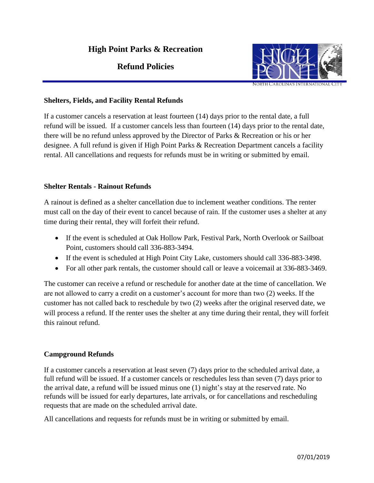# **High Point Parks & Recreation**

# **Refund Policies**



#### **Shelters, Fields, and Facility Rental Refunds**

If a customer cancels a reservation at least fourteen (14) days prior to the rental date, a full refund will be issued. If a customer cancels less than fourteen (14) days prior to the rental date, there will be no refund unless approved by the Director of Parks & Recreation or his or her designee. A full refund is given if High Point Parks & Recreation Department cancels a facility rental. All cancellations and requests for refunds must be in writing or submitted by email.

### **Shelter Rentals - Rainout Refunds**

A rainout is defined as a shelter cancellation due to inclement weather conditions. The renter must call on the day of their event to cancel because of rain. If the customer uses a shelter at any time during their rental, they will forfeit their refund.

- If the event is scheduled at Oak Hollow Park, Festival Park, North Overlook or Sailboat Point, customers should call 336-883-3494.
- If the event is scheduled at High Point City Lake, customers should call 336-883-3498.
- For all other park rentals, the customer should call or leave a voicemail at 336-883-3469.

The customer can receive a refund or reschedule for another date at the time of cancellation. We are not allowed to carry a credit on a customer's account for more than two (2) weeks. If the customer has not called back to reschedule by two (2) weeks after the original reserved date, we will process a refund. If the renter uses the shelter at any time during their rental, they will forfeit this rainout refund.

## **Campground Refunds**

If a customer cancels a reservation at least seven (7) days prior to the scheduled arrival date, a full refund will be issued. If a customer cancels or reschedules less than seven (7) days prior to the arrival date, a refund will be issued minus one (1) night's stay at the reserved rate. No refunds will be issued for early departures, late arrivals, or for cancellations and rescheduling requests that are made on the scheduled arrival date.

All cancellations and requests for refunds must be in writing or submitted by email.